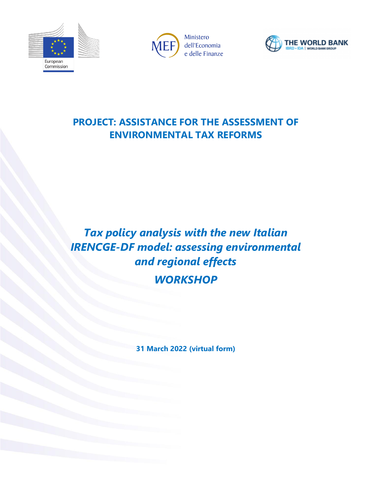





## **PROJECT: ASSISTANCE FOR THE ASSESSMENT OF ENVIRONMENTAL TAX REFORMS**

## *Tax policy analysis with the new Italian IRENCGE-DF model: assessing environmental and regional effects WORKSHOP*

**31 March 2022 (virtual form)**